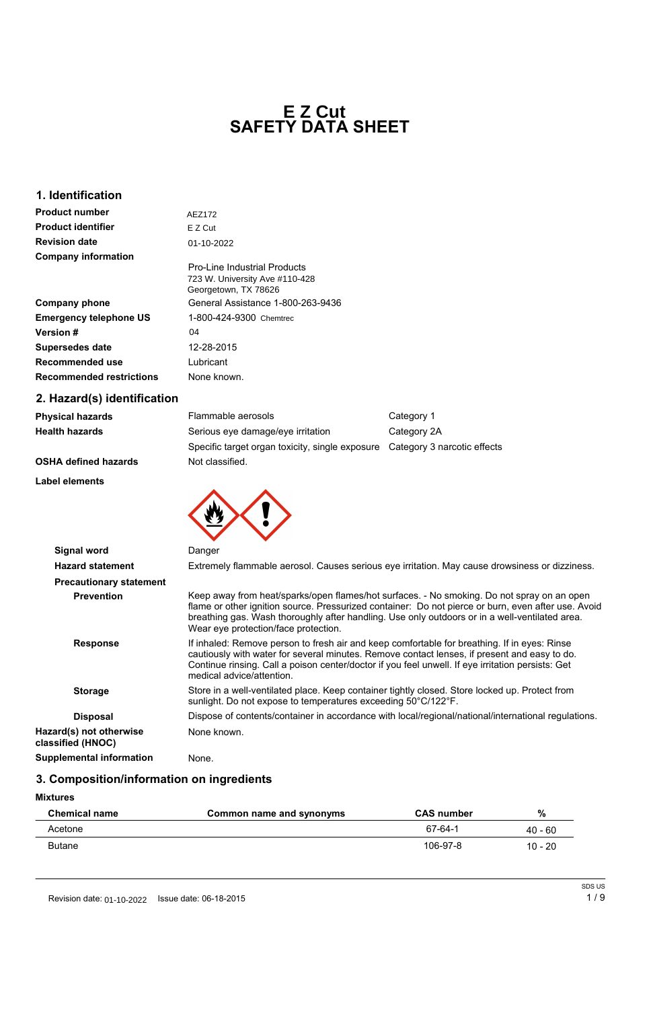### **1. Identification**

### **2. Hazard(s) identification**

| <b>Physical hazards</b>     | Flammable aerosols                                                          | Category 1  |
|-----------------------------|-----------------------------------------------------------------------------|-------------|
| <b>Health hazards</b>       | Serious eye damage/eye irritation                                           | Category 2A |
|                             | Specific target organ toxicity, single exposure Category 3 narcotic effects |             |
| <b>OSHA defined hazards</b> | Not classified.                                                             |             |

**Label elements**

# **SAFETY DATA SHEET E Z Cut**

| <b>Product number</b>           | AEZ172                                                 |
|---------------------------------|--------------------------------------------------------|
| <b>Product identifier</b>       | E Z Cut                                                |
| <b>Revision date</b>            | 01-10-2022                                             |
| <b>Company information</b>      | <b>Pro-Line Industrial Products</b>                    |
|                                 | 723 W. University Ave #110-428<br>Georgetown, TX 78626 |
| <b>Company phone</b>            | General Assistance 1-800-263-9436                      |
| <b>Emergency telephone US</b>   | 1-800-424-9300 Chemtrec                                |
| <b>Version #</b>                | 04                                                     |
| <b>Supersedes date</b>          | 12-28-2015                                             |
| <b>Recommended use</b>          | Lubricant                                              |
| <b>Recommended restrictions</b> | None known.                                            |



**classified (HNOC)**

**Supplemental information** None.

## **3. Composition/information on ingredients**

**Mixtures**

| <b>Chemical name</b> | Common name and synonyms | <b>CAS number</b> | $\%$      |
|----------------------|--------------------------|-------------------|-----------|
| Acetone              |                          | 67-64-1           | $40 - 60$ |
| <b>Butane</b>        |                          | 106-97-8          | 10 - 20   |

|  | SDS US |
|--|--------|
|  | 1/9    |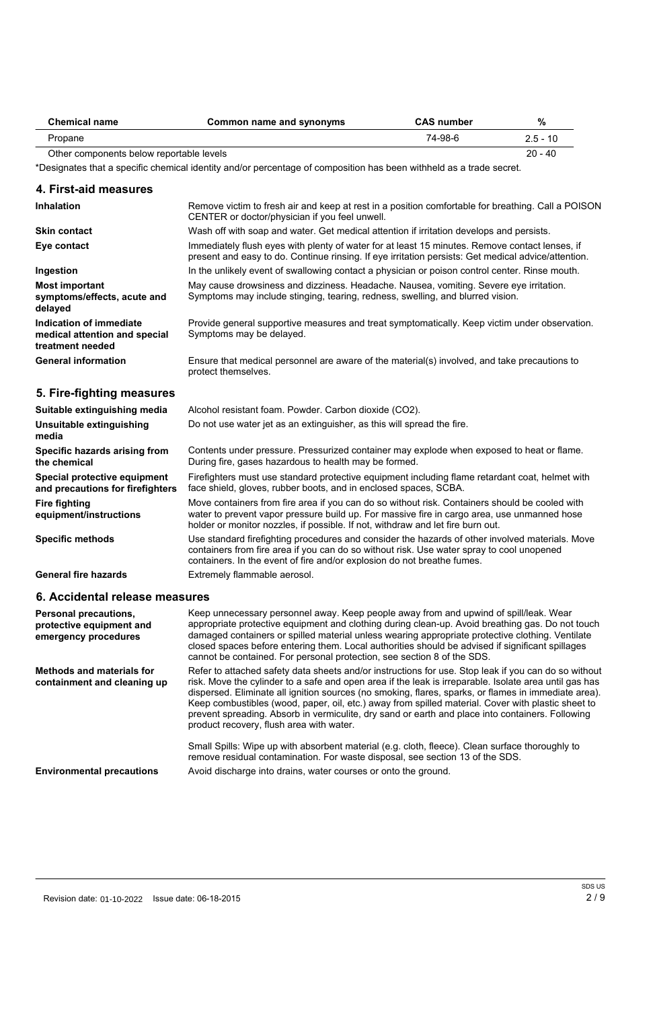| <b>Chemical name</b>                     | Common name and synonyms | <b>CAS number</b> | %          |
|------------------------------------------|--------------------------|-------------------|------------|
| Propane                                  |                          | 74-98-6           | $2.5 - 10$ |
| Other components below reportable levels |                          |                   | $20 - 40$  |

\*Designates that a specific chemical identity and/or percentage of composition has been withheld as a trade secret.

### **4. First-aid measures**

| <b>Inhalation</b>                                                            | Remove victim to fresh air and keep at rest in a position comfortable for breathing. Call a POISON<br>CENTER or doctor/physician if you feel unwell.                                                  |
|------------------------------------------------------------------------------|-------------------------------------------------------------------------------------------------------------------------------------------------------------------------------------------------------|
| <b>Skin contact</b>                                                          | Wash off with soap and water. Get medical attention if irritation develops and persists.                                                                                                              |
| Eye contact                                                                  | Immediately flush eyes with plenty of water for at least 15 minutes. Remove contact lenses, if<br>present and easy to do. Continue rinsing. If eye irritation persists: Get medical advice/attention. |
| Ingestion                                                                    | In the unlikely event of swallowing contact a physician or poison control center. Rinse mouth.                                                                                                        |
| Most important<br>symptoms/effects, acute and<br>delayed                     | May cause drowsiness and dizziness. Headache. Nausea, vomiting. Severe eye irritation.<br>Symptoms may include stinging, tearing, redness, swelling, and blurred vision.                              |
| Indication of immediate<br>medical attention and special<br>treatment needed | Provide general supportive measures and treat symptomatically. Keep victim under observation.<br>Symptoms may be delayed.                                                                             |
| <b>General information</b>                                                   | Ensure that medical personnel are aware of the material(s) involved, and take precautions to<br>protect themselves.                                                                                   |
| 5. Fire-fighting measures                                                    |                                                                                                                                                                                                       |

Small Spills: Wipe up with absorbent material (e.g. cloth, fleece). Clean surface thoroughly to remove residual contamination. For waste disposal, see section 13 of the SDS. **Environmental precautions** Avoid discharge into drains, water courses or onto the ground.

Revision date: 01-10-2022 Issue date: 06-18-2015 2 2 / 9

| Suitable extinguishing media                                     | Alcohol resistant foam. Powder. Carbon dioxide (CO2).                                                                                                                                                                                                                            |
|------------------------------------------------------------------|----------------------------------------------------------------------------------------------------------------------------------------------------------------------------------------------------------------------------------------------------------------------------------|
| Unsuitable extinguishing<br>media                                | Do not use water jet as an extinguisher, as this will spread the fire.                                                                                                                                                                                                           |
| Specific hazards arising from<br>the chemical                    | Contents under pressure. Pressurized container may explode when exposed to heat or flame.<br>During fire, gases hazardous to health may be formed.                                                                                                                               |
| Special protective equipment<br>and precautions for firefighters | Firefighters must use standard protective equipment including flame retardant coat, helmet with<br>face shield, gloves, rubber boots, and in enclosed spaces, SCBA.                                                                                                              |
| <b>Fire fighting</b><br>equipment/instructions                   | Move containers from fire area if you can do so without risk. Containers should be cooled with<br>water to prevent vapor pressure build up. For massive fire in cargo area, use unmanned hose<br>holder or monitor nozzles, if possible. If not, withdraw and let fire burn out. |
| <b>Specific methods</b>                                          | Use standard firefighting procedures and consider the hazards of other involved materials. Move<br>containers from fire area if you can do so without risk. Use water spray to cool unopened<br>containers. In the event of fire and/or explosion do not breathe fumes.          |
| <b>General fire hazards</b>                                      | Extremely flammable aerosol.                                                                                                                                                                                                                                                     |

## **6. Accidental release measures**

| <b>Personal precautions,</b><br>protective equipment and<br>emergency procedures | Keep unnecessary personnel away. Keep people away from and upwind of spill/leak. Wear<br>appropriate protective equipment and clothing during clean-up. Avoid breathing gas. Do not touch<br>damaged containers or spilled material unless wearing appropriate protective clothing. Ventilate<br>closed spaces before entering them. Local authorities should be advised if significant spillages<br>cannot be contained. For personal protection, see section 8 of the SDS.                                                                                                 |
|----------------------------------------------------------------------------------|------------------------------------------------------------------------------------------------------------------------------------------------------------------------------------------------------------------------------------------------------------------------------------------------------------------------------------------------------------------------------------------------------------------------------------------------------------------------------------------------------------------------------------------------------------------------------|
| <b>Methods and materials for</b><br>containment and cleaning up                  | Refer to attached safety data sheets and/or instructions for use. Stop leak if you can do so without<br>risk. Move the cylinder to a safe and open area if the leak is irreparable. Isolate area until gas has<br>dispersed. Eliminate all ignition sources (no smoking, flares, sparks, or flames in immediate area).<br>Keep combustibles (wood, paper, oil, etc.) away from spilled material. Cover with plastic sheet to<br>prevent spreading. Absorb in vermiculite, dry sand or earth and place into containers. Following<br>product recovery, flush area with water. |

SDS US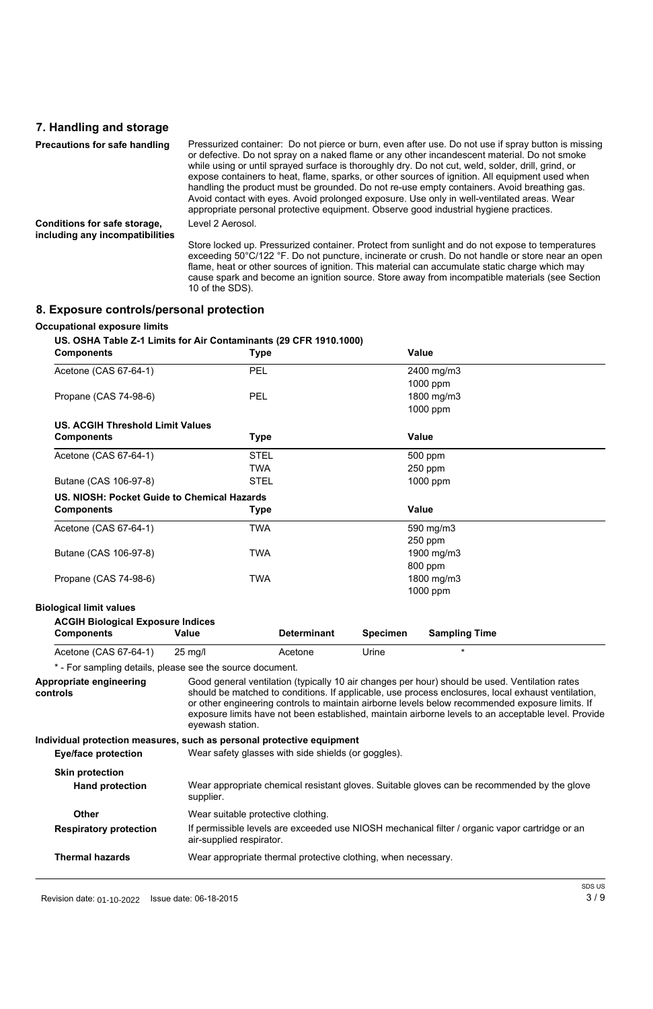## **7. Handling and storage**

| <b>Precautions for safe handling</b>                            | Pressurized container: Do not pierce or burn, even after use. Do not use if spray button is missing<br>or defective. Do not spray on a naked flame or any other incandescent material. Do not smoke<br>while using or until sprayed surface is thoroughly dry. Do not cut, weld, solder, drill, grind, or<br>expose containers to heat, flame, sparks, or other sources of ignition. All equipment used when<br>handling the product must be grounded. Do not re-use empty containers. Avoid breathing gas.<br>Avoid contact with eyes. Avoid prolonged exposure. Use only in well-ventilated areas. Wear<br>appropriate personal protective equipment. Observe good industrial hygiene practices. |
|-----------------------------------------------------------------|----------------------------------------------------------------------------------------------------------------------------------------------------------------------------------------------------------------------------------------------------------------------------------------------------------------------------------------------------------------------------------------------------------------------------------------------------------------------------------------------------------------------------------------------------------------------------------------------------------------------------------------------------------------------------------------------------|
| Conditions for safe storage,<br>including any incompatibilities | Level 2 Aerosol.                                                                                                                                                                                                                                                                                                                                                                                                                                                                                                                                                                                                                                                                                   |
|                                                                 | Store locked up. Pressurized container. Protect from sunlight and do not expose to temperatures<br>exceeding 50°C/122 °F. Do not puncture, incinerate or crush. Do not handle or store near an open<br>flame, heat or other sources of ignition. This material can accumulate static charge which may<br>cause spark and become an ignition source. Store away from incompatible materials (see Section<br>10 of the SDS).                                                                                                                                                                                                                                                                         |

# **8. Exposure controls/personal protection**

#### **Occupational exposure limits**

#### **US. OSHA Table Z-1 Limits for Air Contaminants (29 CFR 1910.1000)**

| <b>Components</b>                           | <b>Type</b>              |                    | <b>Value</b>    |                      |  |
|---------------------------------------------|--------------------------|--------------------|-----------------|----------------------|--|
| Acetone (CAS 67-64-1)                       | <b>PEL</b><br>2400 mg/m3 |                    |                 |                      |  |
|                                             |                          |                    |                 | 1000 ppm             |  |
| Propane (CAS 74-98-6)                       | <b>PEL</b>               |                    |                 | 1800 mg/m3           |  |
|                                             |                          |                    |                 | 1000 ppm             |  |
| <b>US. ACGIH Threshold Limit Values</b>     |                          |                    |                 |                      |  |
| <b>Components</b>                           | Type                     |                    |                 | <b>Value</b>         |  |
| Acetone (CAS 67-64-1)                       | <b>STEL</b>              |                    |                 | 500 ppm              |  |
|                                             | <b>TWA</b>               |                    |                 | 250 ppm              |  |
| Butane (CAS 106-97-8)                       | <b>STEL</b>              |                    |                 | 1000 ppm             |  |
| US. NIOSH: Pocket Guide to Chemical Hazards |                          |                    |                 |                      |  |
| <b>Components</b>                           | <b>Type</b>              |                    |                 | <b>Value</b>         |  |
| Acetone (CAS 67-64-1)                       | <b>TWA</b>               |                    |                 | 590 mg/m3            |  |
|                                             |                          |                    |                 | 250 ppm              |  |
| Butane (CAS 106-97-8)                       | <b>TWA</b>               |                    |                 | 1900 mg/m3           |  |
|                                             |                          |                    |                 | 800 ppm              |  |
| Propane (CAS 74-98-6)                       | <b>TWA</b>               |                    |                 | 1800 mg/m3           |  |
|                                             |                          |                    |                 | 1000 ppm             |  |
| <b>Biological limit values</b>              |                          |                    |                 |                      |  |
| <b>ACGIH Biological Exposure Indices</b>    |                          |                    |                 |                      |  |
| <b>Components</b>                           | <b>Value</b>             | <b>Determinant</b> | <b>Specimen</b> | <b>Sampling Time</b> |  |
| Acetone (CAS 67-64-1)                       | $25$ mg/l                | Acetone            | Urine           | $\star$              |  |
|                                             |                          |                    |                 |                      |  |

Good general ventilation (typically 10 air changes per hour) should be used. Ventilation rates should be matched to conditions. If applicable, use process enclosures, local exhaust ventilation, or other engineering controls to maintain airborne levels below recommended exposure limits. If exposure limits have not been established, maintain airborne levels to an acceptable level. Provide eyewash station. **Appropriate engineering controls**

**Individual protection measures, such as personal protective equipment**

| aaa. protootion mododi oo, odon do poroonal protootixo oquipmont |  |  |
|------------------------------------------------------------------|--|--|
|                                                                  |  |  |

| Eye/face protection                              | Wear safety glasses with side shields (or goggles).                                                                        |
|--------------------------------------------------|----------------------------------------------------------------------------------------------------------------------------|
| <b>Skin protection</b><br><b>Hand protection</b> | Wear appropriate chemical resistant gloves. Suitable gloves can be recommended by the glove<br>supplier.                   |
| <b>Other</b>                                     | Wear suitable protective clothing.                                                                                         |
| <b>Respiratory protection</b>                    | If permissible levels are exceeded use NIOSH mechanical filter / organic vapor cartridge or an<br>air-supplied respirator. |
| <b>Thermal hazards</b>                           | Wear appropriate thermal protective clothing, when necessary.                                                              |

Revision date: 01-10-2022 Sisue date: 06-18-2015 3  $/$  9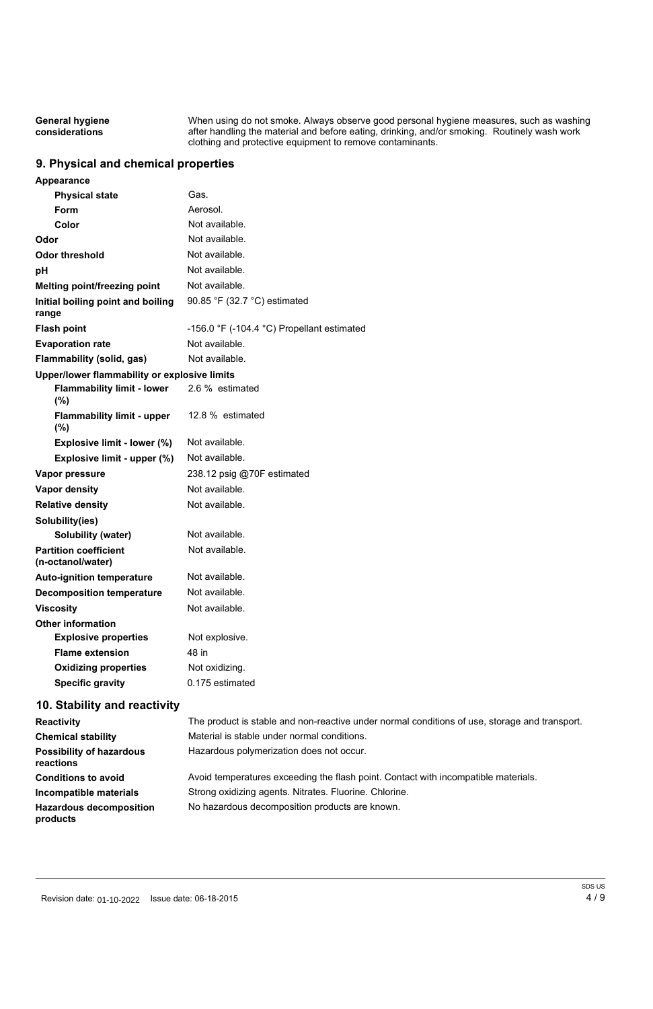When using do not smoke. Always observe good personal hygiene measures, such as washing after handling the material and before eating, drinking, and/or smoking. Routinely wash work clothing and protective equipment to remove contaminants. **General hygiene considerations**

## **9. Physical and chemical properties**

| <b>Appearance</b>                                 |                                                              |
|---------------------------------------------------|--------------------------------------------------------------|
| <b>Physical state</b>                             | Gas.                                                         |
| Form                                              | Aerosol.                                                     |
| Color                                             | Not available.                                               |
| Odor                                              | Not available.                                               |
| <b>Odor threshold</b>                             | Not available.                                               |
| рH                                                | Not available.                                               |
| <b>Melting point/freezing point</b>               | Not available.                                               |
| Initial boiling point and boiling<br>range        | 90.85 °F (32.7 °C) estimated                                 |
| <b>Flash point</b>                                | -156.0 $\degree$ F (-104.4 $\degree$ C) Propellant estimated |
| <b>Evaporation rate</b>                           | Not available.                                               |
| Flammability (solid, gas)                         | Not available.                                               |
| Upper/lower flammability or explosive limits      |                                                              |
| <b>Flammability limit - lower</b><br>(%)          | 2.6 % estimated                                              |
| <b>Flammability limit - upper</b><br>(%)          | 12.8 % estimated                                             |
| <b>Explosive limit - lower (%)</b>                | Not available.                                               |
| Explosive limit - upper (%)                       | Not available.                                               |
| <b>Vapor pressure</b>                             | 238.12 psig @70F estimated                                   |
| <b>Vapor density</b>                              | Not available.                                               |
| <b>Relative density</b>                           | Not available.                                               |
| Solubility(ies)                                   |                                                              |
| <b>Solubility (water)</b>                         | Not available.                                               |
| <b>Partition coefficient</b><br>(n-octanol/water) | Not available.                                               |
| <b>Auto-ignition temperature</b>                  | Not available.                                               |
| <b>Decomposition temperature</b>                  | Not available.                                               |
| <b>Viscosity</b>                                  | Not available.                                               |
| <b>Other information</b>                          |                                                              |
|                                                   |                                                              |
| <b>Explosive properties</b>                       | Not explosive.                                               |
| <b>Flame extension</b>                            | 48 in                                                        |
| <b>Oxidizing properties</b>                       | Not oxidizing.                                               |

**Conditions to avoid** Avoid temperatures exceeding the flash point. Contact with incompatible materials. **Incompatible materials** Strong oxidizing agents. Nitrates. Fluorine. Chlorine. **Hazardous decomposition** No hazardous decomposition products are known.

Revision date: 01-10-2022 Sisue date: 06-18-2015 And the state of the state of the state of the state of the state of the state of the state of the state of the state of the state of the state of the state of the state of

# **10. Stability and reactivity**

| <b>Reactivity</b>         | The product is stable and non-reactive under normal conditions of use, storage and transport. |
|---------------------------|-----------------------------------------------------------------------------------------------|
| <b>Chemical stability</b> | Material is stable under normal conditions.                                                   |

**reactions**

**products**

**Possibility of hazardous** Hazardous polymerization does not occur.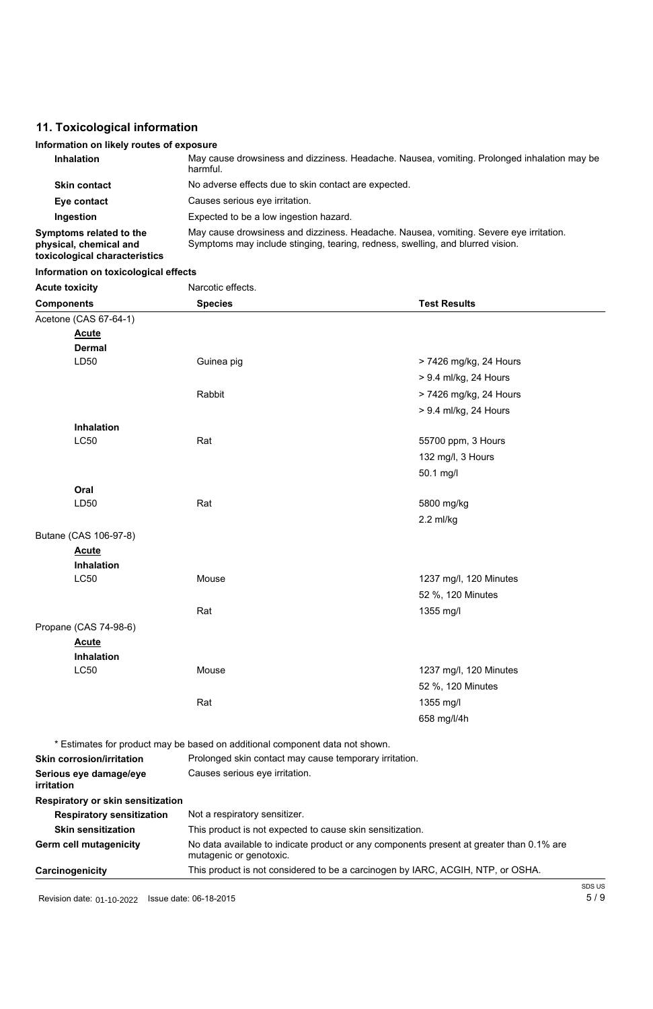# **11. Toxicological information**

# **Information on likely routes of exposure**

| <b>Inhalation</b>                                                                         | May cause drowsiness and dizziness. Headache. Nausea, vomiting. Prolonged inhalation may be<br>harmful.                                                                  |
|-------------------------------------------------------------------------------------------|--------------------------------------------------------------------------------------------------------------------------------------------------------------------------|
| <b>Skin contact</b>                                                                       | No adverse effects due to skin contact are expected.                                                                                                                     |
| Eye contact                                                                               | Causes serious eye irritation.                                                                                                                                           |
| Ingestion                                                                                 | Expected to be a low ingestion hazard.                                                                                                                                   |
| <b>Symptoms related to the</b><br>physical, chemical and<br>toxicological characteristics | May cause drowsiness and dizziness. Headache. Nausea, vomiting. Severe eye irritation.<br>Symptoms may include stinging, tearing, redness, swelling, and blurred vision. |

# **Information on toxicological effects**

| <b>Acute toxicity</b> | Narcotic effects. |                        |
|-----------------------|-------------------|------------------------|
| <b>Components</b>     | <b>Species</b>    | <b>Test Results</b>    |
| Acetone (CAS 67-64-1) |                   |                        |
| <b>Acute</b>          |                   |                        |
| <b>Dermal</b>         |                   |                        |
| LD50                  | Guinea pig        | > 7426 mg/kg, 24 Hours |
|                       |                   | > 9.4 ml/kg, 24 Hours  |
|                       | Rabbit            | > 7426 mg/kg, 24 Hours |
|                       |                   | > 9.4 ml/kg, 24 Hours  |
| Inhalation            |                   |                        |
| <b>LC50</b>           | Rat               | 55700 ppm, 3 Hours     |
|                       |                   | 132 mg/l, 3 Hours      |
|                       |                   | 50.1 mg/l              |
| Oral                  |                   |                        |
| LD50                  | Rat               | 5800 mg/kg             |
|                       |                   | $2.2$ ml/kg            |
| Butane (CAS 106-97-8) |                   |                        |
| <b>Acute</b>          |                   |                        |
| <b>Inhalation</b>     |                   |                        |
| <b>LC50</b>           | Mouse             | 1237 mg/l, 120 Minutes |
|                       |                   | 52 %, 120 Minutes      |
|                       | Rat               | 1355 mg/l              |
| Propane (CAS 74-98-6) |                   |                        |
| <b>Acute</b>          |                   |                        |
| <b>Inhalation</b>     |                   |                        |
| <b>LC50</b>           | Mouse             | 1237 mg/l, 120 Minutes |
|                       |                   | 52 %, 120 Minutes      |
|                       | Rat               | 1355 mg/l              |

|  | * Estimates for product may be based on additional component data not shown. |  |
|--|------------------------------------------------------------------------------|--|
|  |                                                                              |  |

658 mg/l/4h

| <b>Skin corrosion/irritation</b>         | Prolonged skin contact may cause temporary irritation.                                                              |        |
|------------------------------------------|---------------------------------------------------------------------------------------------------------------------|--------|
| Serious eye damage/eye<br>irritation     | Causes serious eye irritation.                                                                                      |        |
| <b>Respiratory or skin sensitization</b> |                                                                                                                     |        |
| <b>Respiratory sensitization</b>         | Not a respiratory sensitizer.                                                                                       |        |
| <b>Skin sensitization</b>                | This product is not expected to cause skin sensitization.                                                           |        |
| <b>Germ cell mutagenicity</b>            | No data available to indicate product or any components present at greater than 0.1% are<br>mutagenic or genotoxic. |        |
| Carcinogenicity                          | This product is not considered to be a carcinogen by IARC, ACGIH, NTP, or OSHA.                                     |        |
|                                          |                                                                                                                     | SDS US |
|                                          |                                                                                                                     | 5/9    |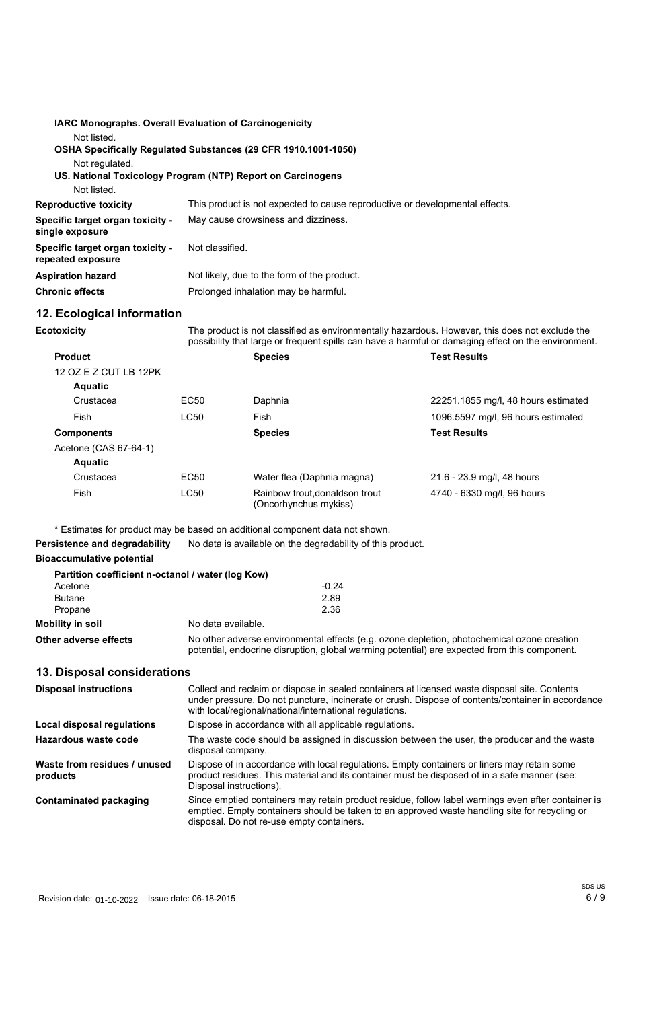|                                                              | <b>IARC Monographs. Overall Evaluation of Carcinogenicity</b>                |
|--------------------------------------------------------------|------------------------------------------------------------------------------|
| Not listed.                                                  | OSHA Specifically Regulated Substances (29 CFR 1910.1001-1050)               |
| Not regulated.                                               | US. National Toxicology Program (NTP) Report on Carcinogens                  |
| Not listed.                                                  |                                                                              |
| <b>Reproductive toxicity</b>                                 | This product is not expected to cause reproductive or developmental effects. |
| <b>Specific target organ toxicity -</b><br>single exposure   | May cause drowsiness and dizziness.                                          |
| <b>Specific target organ toxicity -</b><br>repeated exposure | Not classified.                                                              |
| <b>Aspiration hazard</b>                                     | Not likely, due to the form of the product.                                  |
| <b>Chronic effects</b>                                       | Prolonged inhalation may be harmful.                                         |

# **12. Ecological information**

The product is not classified as environmentally hazardous. However, this does not exclude the possibility that large or frequent spills can have a harmful or damaging effect on the environment.

**Ecotoxicity**

| <b>Product</b>        |             | <b>Species</b>                                          | <b>Test Results</b>                 |
|-----------------------|-------------|---------------------------------------------------------|-------------------------------------|
| 12 OZ E Z CUT LB 12PK |             |                                                         |                                     |
| <b>Aquatic</b>        |             |                                                         |                                     |
| Crustacea             | <b>EC50</b> | Daphnia                                                 | 22251.1855 mg/l, 48 hours estimated |
| Fish                  | <b>LC50</b> | Fish                                                    | 1096.5597 mg/l, 96 hours estimated  |
| <b>Components</b>     |             | <b>Species</b>                                          | <b>Test Results</b>                 |
| Acetone (CAS 67-64-1) |             |                                                         |                                     |
| <b>Aquatic</b>        |             |                                                         |                                     |
| Crustacea             | <b>EC50</b> | Water flea (Daphnia magna)                              | 21.6 - 23.9 mg/l, 48 hours          |
| Fish                  | <b>LC50</b> | Rainbow trout, donaldson trout<br>(Oncorhynchus mykiss) | 4740 - 6330 mg/l, 96 hours          |

\* Estimates for product may be based on additional component data not shown.

**Persistence and degradability** No data is available on the degradability of this product.

#### **Bioaccumulative potential**

|                              | Partition coefficient n-octanol / water (log Kow)                                                                                                                                          |  |
|------------------------------|--------------------------------------------------------------------------------------------------------------------------------------------------------------------------------------------|--|
| Acetone                      | $-0.24$                                                                                                                                                                                    |  |
| <b>Butane</b>                | 2.89                                                                                                                                                                                       |  |
| Propane                      | 2.36                                                                                                                                                                                       |  |
| <b>Mobility in soil</b>      | No data available.                                                                                                                                                                         |  |
| <b>Other adverse effects</b> | No other adverse environmental effects (e.g. ozone depletion, photochemical ozone creation<br>potential, endocrine disruption, global warming potential) are expected from this component. |  |

### **13. Disposal considerations**

| <b>Disposal instructions</b> | Collect and reclaim or dispose in sealed containers at licensed waste disposal site. Contents<br>under pressure. Do not puncture, incinerate or crush. Dispose of contents/container in accordance<br>with local/regional/national/international regulations. |
|------------------------------|---------------------------------------------------------------------------------------------------------------------------------------------------------------------------------------------------------------------------------------------------------------|
| Local disposal regulations   | Dispose in accordance with all applicable regulations.                                                                                                                                                                                                        |
| Hazardous waste code         | The waste code should be assigned in discussion between the user, the producer and the waste                                                                                                                                                                  |

| TIAZAI UUUS WASLE CUUE                   | The waste could should be assigned in discussion between the user, the producer and the waste<br>disposal company.                                                                                                                               |
|------------------------------------------|--------------------------------------------------------------------------------------------------------------------------------------------------------------------------------------------------------------------------------------------------|
| Waste from residues / unused<br>products | Dispose of in accordance with local regulations. Empty containers or liners may retain some<br>product residues. This material and its container must be disposed of in a safe manner (see:<br>Disposal instructions).                           |
| <b>Contaminated packaging</b>            | Since emptied containers may retain product residue, follow label warnings even after container is<br>emptied. Empty containers should be taken to an approved waste handling site for recycling or<br>disposal. Do not re-use empty containers. |

Revision date: 01-10-2022 Issue date: 06-18-2015 **6 and the set of the set of the set of the set of the set of t** 

SDS US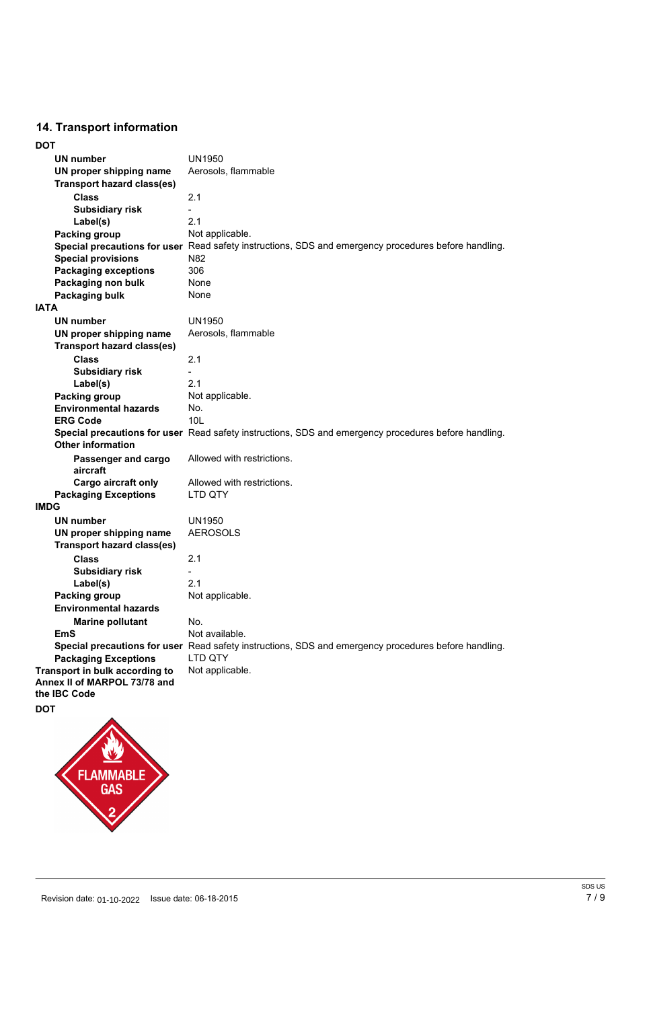# **14. Transport information**

| <b>UN number</b>                                                               | <b>UN1950</b>                                                                                        |
|--------------------------------------------------------------------------------|------------------------------------------------------------------------------------------------------|
| UN proper shipping name                                                        | Aerosols, flammable                                                                                  |
| <b>Transport hazard class(es)</b>                                              |                                                                                                      |
| <b>Class</b>                                                                   | 2.1                                                                                                  |
| <b>Subsidiary risk</b>                                                         |                                                                                                      |
| Label(s)                                                                       | 2.1                                                                                                  |
| <b>Packing group</b>                                                           | Not applicable.                                                                                      |
|                                                                                | Special precautions for user Read safety instructions, SDS and emergency procedures before handling. |
| <b>Special provisions</b>                                                      | N82                                                                                                  |
| <b>Packaging exceptions</b>                                                    | 306                                                                                                  |
| Packaging non bulk                                                             | <b>None</b>                                                                                          |
| <b>Packaging bulk</b>                                                          | None                                                                                                 |
| <b>IATA</b>                                                                    |                                                                                                      |
| <b>UN number</b>                                                               | <b>UN1950</b>                                                                                        |
| UN proper shipping name                                                        | Aerosols, flammable                                                                                  |
| <b>Transport hazard class(es)</b>                                              |                                                                                                      |
| <b>Class</b>                                                                   | 2.1                                                                                                  |
| <b>Subsidiary risk</b>                                                         |                                                                                                      |
| Label(s)                                                                       | 2.1                                                                                                  |
| <b>Packing group</b>                                                           | Not applicable.                                                                                      |
| <b>Environmental hazards</b>                                                   | No.                                                                                                  |
| <b>ERG Code</b>                                                                | 10 <sub>L</sub>                                                                                      |
| <b>Other information</b>                                                       | Special precautions for user Read safety instructions, SDS and emergency procedures before handling. |
| Passenger and cargo<br>aircraft                                                | Allowed with restrictions.                                                                           |
| Cargo aircraft only                                                            | Allowed with restrictions.                                                                           |
| <b>Packaging Exceptions</b>                                                    | <b>LTD QTY</b>                                                                                       |
| <b>IMDG</b>                                                                    |                                                                                                      |
| <b>UN number</b>                                                               | <b>UN1950</b>                                                                                        |
| UN proper shipping name                                                        | <b>AEROSOLS</b>                                                                                      |
| <b>Transport hazard class(es)</b>                                              |                                                                                                      |
| <b>Class</b>                                                                   | 2.1                                                                                                  |
| <b>Subsidiary risk</b>                                                         |                                                                                                      |
| Label(s)                                                                       | 2.1                                                                                                  |
| <b>Packing group</b>                                                           | Not applicable.                                                                                      |
| <b>Environmental hazards</b>                                                   |                                                                                                      |
| <b>Marine pollutant</b>                                                        | No.                                                                                                  |
| <b>EmS</b>                                                                     | Not available.                                                                                       |
|                                                                                | Special precautions for user Read safety instructions, SDS and emergency procedures before handling. |
| <b>Packaging Exceptions</b>                                                    | LTD QTY                                                                                              |
| Transport in bulk according to<br>Annex II of MARPOL 73/78 and<br>the IBC Code | Not applicable.                                                                                      |





Revision date: 01-10-2022 Sisue date: 06-18-2015 **Issue date: 06-18-2016 Issue date:** 06-18-2015

SDS US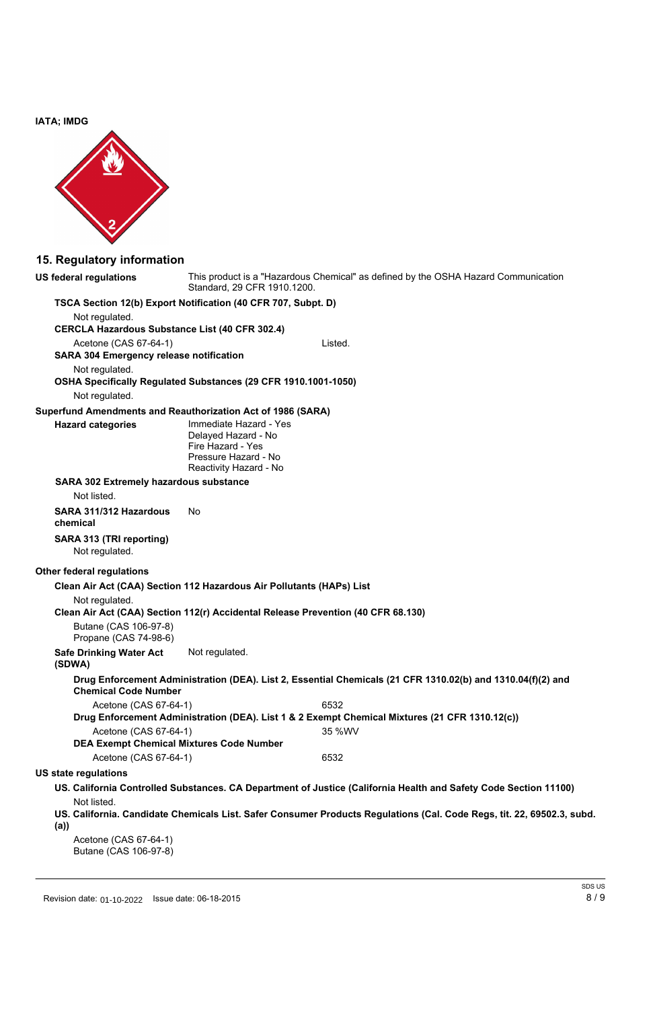**IATA; IMDG**



# **15. Regulatory information**

| US federal regulations                                | This product is a "Hazardous Chemical" as defined by the OSHA Hazard Communication<br>Standard, 29 CFR 1910.1200.    |
|-------------------------------------------------------|----------------------------------------------------------------------------------------------------------------------|
|                                                       | TSCA Section 12(b) Export Notification (40 CFR 707, Subpt. D)                                                        |
| Not regulated.                                        |                                                                                                                      |
| <b>CERCLA Hazardous Substance List (40 CFR 302.4)</b> |                                                                                                                      |
| Acetone (CAS 67-64-1)                                 | Listed.                                                                                                              |
| <b>SARA 304 Emergency release notification</b>        |                                                                                                                      |
| Not regulated.                                        |                                                                                                                      |
|                                                       | OSHA Specifically Regulated Substances (29 CFR 1910.1001-1050)                                                       |
| Not regulated.                                        |                                                                                                                      |
|                                                       | Superfund Amendments and Reauthorization Act of 1986 (SARA)                                                          |
| <b>Hazard categories</b>                              | Immediate Hazard - Yes<br>Delayed Hazard - No<br>Fire Hazard - Yes<br>Pressure Hazard - No<br>Reactivity Hazard - No |
| <b>SARA 302 Extremely hazardous substance</b>         |                                                                                                                      |
| Not listed.                                           |                                                                                                                      |
| SARA 311/312 Hazardous<br>chemical                    | <b>No</b>                                                                                                            |
| <b>SARA 313 (TRI reporting)</b><br>Not regulated.     |                                                                                                                      |
| <b>Other federal regulations</b>                      |                                                                                                                      |
|                                                       | Clean Air Act (CAA) Section 112 Hazardous Air Pollutants (HAPs) List                                                 |
| Not regulated.                                        | Clean Air Act (CAA) Section 112(r) Accidental Release Prevention (40 CFR 68.130)                                     |
| Butane (CAS 106-97-8)<br>Propane (CAS 74-98-6)        |                                                                                                                      |
| <b>Safe Drinking Water Act</b><br>(SDWA)              | Not regulated.                                                                                                       |
| <b>Chemical Code Number</b>                           | Drug Enforcement Administration (DEA). List 2, Essential Chemicals (21 CFR 1310.02(b) and 1310.04(f)(2) and          |
| Acetone (CAS 67-64-1)                                 | 6532                                                                                                                 |
|                                                       | Drug Enforcement Administration (DEA). List 1 & 2 Exempt Chemical Mixtures (21 CFR 1310.12(c))                       |
| Acetone (CAS 67-64-1)                                 | 35 %WV                                                                                                               |

|--|--|--|--|

#### **DEA Exempt Chemical Mixtures Code Number**

Acetone (CAS 67-64-1) 6532

## **US state regulations**

- **US. California Controlled Substances. CA Department of Justice (California Health and Safety Code Section 11100)** Not listed.
- US. California. Candidate Chemicals List. Safer Consumer Products Regulations (Cal. Code Regs, tit. 22, 69502.3, subd. **(a))**

Acetone (CAS 67-64-1) Butane (CAS 106-97-8)